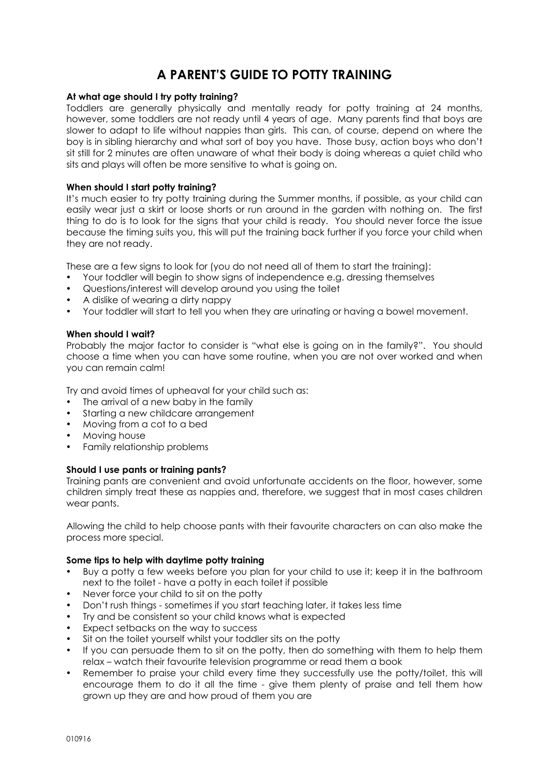# **A PARENT'S GUIDE TO POTTY TRAINING**

#### **At what age should I try potty training?**

Toddlers are generally physically and mentally ready for potty training at 24 months, however, some toddlers are not ready until 4 years of age. Many parents find that boys are slower to adapt to life without nappies than girls. This can, of course, depend on where the boy is in sibling hierarchy and what sort of boy you have. Those busy, action boys who don't sit still for 2 minutes are often unaware of what their body is doing whereas a quiet child who sits and plays will often be more sensitive to what is going on.

#### **When should I start potty training?**

It's much easier to try potty training during the Summer months, if possible, as your child can easily wear just a skirt or loose shorts or run around in the garden with nothing on. The first thing to do is to look for the signs that your child is ready. You should never force the issue because the timing suits you, this will put the training back further if you force your child when they are not ready.

These are a few signs to look for (you do not need all of them to start the training):

- Your toddler will begin to show signs of independence e.g. dressing themselves
- Questions/interest will develop around you using the toilet
- A dislike of wearing a dirty nappy
- Your toddler will start to tell you when they are urinating or having a bowel movement.

### **When should I wait?**

Probably the major factor to consider is "what else is going on in the family?". You should choose a time when you can have some routine, when you are not over worked and when you can remain calm!

Try and avoid times of upheaval for your child such as:

- The arrival of a new baby in the family
- Starting a new childcare arrangement
- Moving from a cot to a bed
- Moving house
- Family relationship problems

### **Should I use pants or training pants?**

Training pants are convenient and avoid unfortunate accidents on the floor, however, some children simply treat these as nappies and, therefore, we suggest that in most cases children wear pants.

Allowing the child to help choose pants with their favourite characters on can also make the process more special.

### **Some tips to help with daytime potty training**

- Buy a potty a few weeks before you plan for your child to use it; keep it in the bathroom next to the toilet - have a potty in each toilet if possible
- Never force your child to sit on the potty
- Don't rush things sometimes if you start teaching later, it takes less time
- Try and be consistent so your child knows what is expected
- Expect setbacks on the way to success
- Sit on the toilet yourself whilst your toddler sits on the potty
- If you can persuade them to sit on the potty, then do something with them to help them relax – watch their favourite television programme or read them a book
- Remember to praise your child every time they successfully use the potty/toilet, this will encourage them to do it all the time - give them plenty of praise and tell them how grown up they are and how proud of them you are